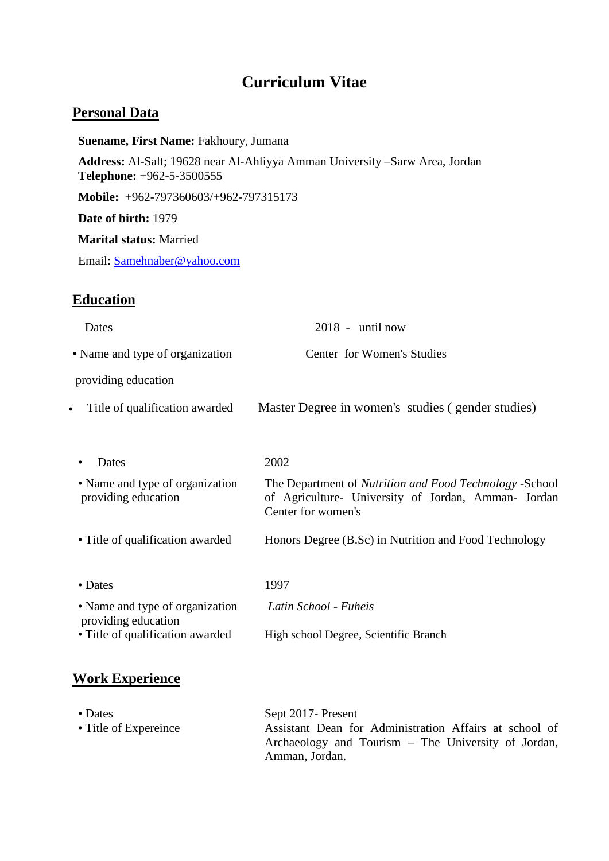# **Curriculum Vitae**

### **Personal Data**

**Suename, First Name:** Fakhoury, Jumana **Address:** Al-Salt; 19628 near Al-Ahliyya Amman University –Sarw Area, Jordan **Telephone:** +962-5-3500555 **Mobile:** +962-797360603/+962-797315173 **Date of birth:** 1979 **Marital status:** Married Email: [Samehnaber@yahoo.com](mailto:Samehnaber@yahoo.com)

## **Education**

| Dates                                                  | $2018$ - until now                                                                                                                   |
|--------------------------------------------------------|--------------------------------------------------------------------------------------------------------------------------------------|
| • Name and type of organization                        | Center for Women's Studies                                                                                                           |
| providing education                                    |                                                                                                                                      |
| Title of qualification awarded<br>$\bullet$            | Master Degree in women's studies (gender studies)                                                                                    |
|                                                        |                                                                                                                                      |
| Dates                                                  | 2002                                                                                                                                 |
| • Name and type of organization<br>providing education | The Department of Nutrition and Food Technology -School<br>of Agriculture- University of Jordan, Amman- Jordan<br>Center for women's |
| • Title of qualification awarded                       | Honors Degree (B.Sc) in Nutrition and Food Technology                                                                                |
|                                                        |                                                                                                                                      |
| • Dates                                                | 1997                                                                                                                                 |
| • Name and type of organization<br>providing education | Latin School - Fuheis                                                                                                                |
| • Title of qualification awarded                       | High school Degree, Scientific Branch                                                                                                |
|                                                        |                                                                                                                                      |

## **Work Experience**

• Dates<br>
• Title of Expereince<br>
• Title of Expereince<br>
• Assistant Dean fo Assistant Dean for Administration Affairs at school of Archaeology and Tourism – The University of Jordan, Amman, Jordan.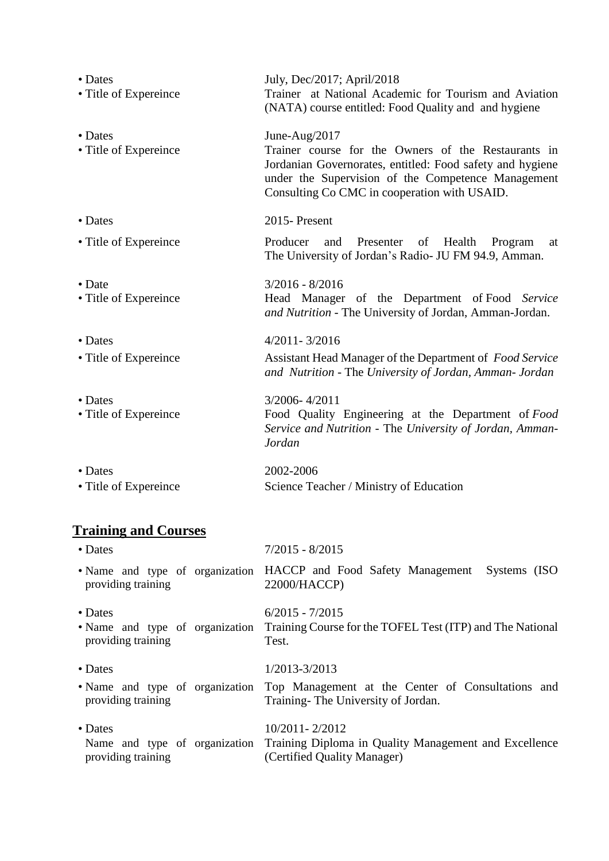| • Dates<br>• Title of Expereince         | July, Dec/2017; April/2018<br>Trainer at National Academic for Tourism and Aviation<br>(NATA) course entitled: Food Quality and and hygiene                                                                                             |
|------------------------------------------|-----------------------------------------------------------------------------------------------------------------------------------------------------------------------------------------------------------------------------------------|
| • Dates<br>• Title of Expereince         | June-Aug/2017<br>Trainer course for the Owners of the Restaurants in<br>Jordanian Governorates, entitled: Food safety and hygiene<br>under the Supervision of the Competence Management<br>Consulting Co CMC in cooperation with USAID. |
| • Dates                                  | 2015-Present                                                                                                                                                                                                                            |
| • Title of Expereince                    | Producer<br>Presenter<br>and<br>of<br>Health<br>Program<br>at<br>The University of Jordan's Radio- JU FM 94.9, Amman.                                                                                                                   |
| $\bullet$ Date<br>• Title of Expereince  | $3/2016 - 8/2016$<br>Head Manager of the Department of Food Service<br>and Nutrition - The University of Jordan, Amman-Jordan.                                                                                                          |
| • Dates                                  | $4/2011 - 3/2016$                                                                                                                                                                                                                       |
| • Title of Expereince                    | Assistant Head Manager of the Department of Food Service<br>and Nutrition - The University of Jordan, Amman- Jordan                                                                                                                     |
| $\bullet$ Dates<br>• Title of Expereince | 3/2006-4/2011<br>Food Quality Engineering at the Department of Food<br>Service and Nutrition - The University of Jordan, Amman-<br>Jordan                                                                                               |
| • Dates<br>• Title of Expereince         | 2002-2006<br>Science Teacher / Ministry of Education                                                                                                                                                                                    |

# **Training and Courses**

| • Dates                       | $7/2015 - 8/2015$                                                                                                                          |
|-------------------------------|--------------------------------------------------------------------------------------------------------------------------------------------|
| providing training            | • Name and type of organization HACCP and Food Safety Management Systems (ISO)<br>22000/HACCP)                                             |
| • Dates<br>providing training | $6/2015 - 7/2015$<br>• Name and type of organization Training Course for the TOFEL Test (ITP) and The National<br>Test.                    |
| • Dates<br>providing training | 1/2013-3/2013<br>• Name and type of organization Top Management at the Center of Consultations and<br>Training - The University of Jordan. |
| • Dates<br>providing training | $10/2011 - 2/2012$<br>Name and type of organization Training Diploma in Quality Management and Excellence<br>(Certified Quality Manager)   |